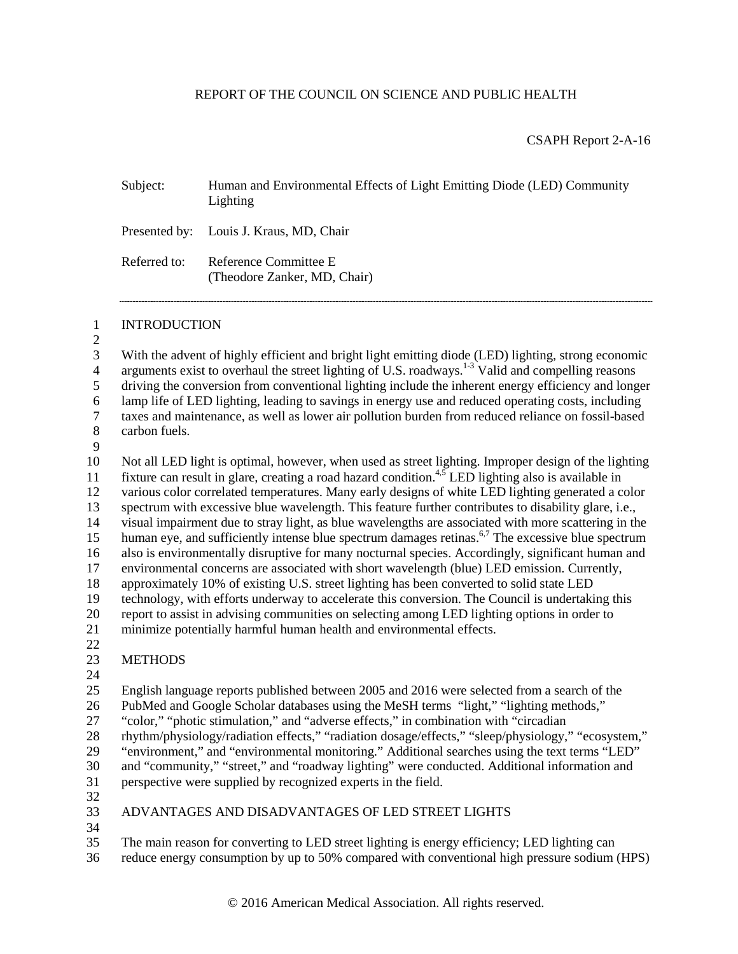Subject: Human and Environmental Effects of Light Emitting Diode (LED) Community Lighting Presented by: Louis J. Kraus, MD, Chair Referred to: Reference Committee E (Theodore Zanker, MD, Chair)

1 INTRODUCTION

2

3 With the advent of highly efficient and bright light emitting diode (LED) lighting, strong economic arguments exist to overhaul the street lighting of U.S. roadways.<sup>1-3</sup> Valid and compelling reasons 5 driving the conversion from conventional lighting include the inherent energy efficiency and longer 6 lamp life of LED lighting, leading to savings in energy use and reduced operating costs, including 7 taxes and maintenance, as well as lower air pollution burden from reduced reliance on fossil-based carbon fuels.

9

10 Not all LED light is optimal, however, when used as street lighting. Improper design of the lighting 11 fixture can result in glare, creating a road hazard condition.<sup>4,5</sup> LED lighting also is available in 12 various color correlated temperatures. Many early designs of white LED lighting generated a color 13 spectrum with excessive blue wavelength. This feature further contributes to disability glare, i.e., 14 visual impairment due to stray light, as blue wavelengths are associated with more scattering in the 15 human eye, and sufficiently intense blue spectrum damages retinas.<sup>6,7</sup> The excessive blue spectrum 16 also is environmentally disruptive for many nocturnal species. Accordingly, significant human and 17 environmental concerns are associated with short wavelength (blue) LED emission. Currently, 18 approximately 10% of existing U.S. street lighting has been converted to solid state LED 19 technology, with efforts underway to accelerate this conversion. The Council is undertaking this 20 report to assist in advising communities on selecting among LED lighting options in order to 21 minimize potentially harmful human health and environmental effects. 22 23 METHODS 24 25 English language reports published between 2005 and 2016 were selected from a search of the 26 PubMed and Google Scholar databases using the MeSH terms "light," "lighting methods," 27 "color," "photic stimulation," and "adverse effects," in combination with "circadian 28 rhythm/physiology/radiation effects," "radiation dosage/effects," "sleep/physiology," "ecosystem," 29 "environment," and "environmental monitoring." Additional searches using the text terms "LED" 30 and "community," "street," and "roadway lighting" were conducted. Additional information and 31 perspective were supplied by recognized experts in the field. 32 33 ADVANTAGES AND DISADVANTAGES OF LED STREET LIGHTS 34

35 The main reason for converting to LED street lighting is energy efficiency; LED lighting can

36 reduce energy consumption by up to 50% compared with conventional high pressure sodium (HPS)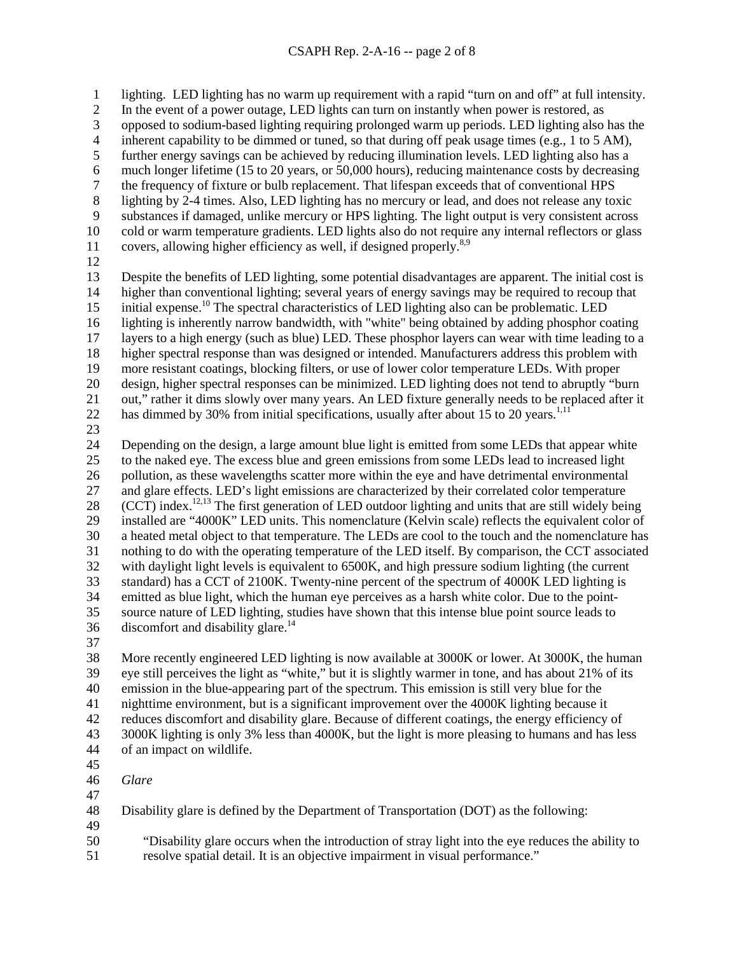1 lighting. LED lighting has no warm up requirement with a rapid "turn on and off" at full intensity. 2 In the event of a power outage, LED lights can turn on instantly when power is restored, as 3 opposed to sodium-based lighting requiring prolonged warm up periods. LED lighting also has the 4 inherent capability to be dimmed or tuned, so that during off peak usage times (e.g., 1 to 5 AM),<br>5 further energy savings can be achieved by reducing illumination levels. LED lighting also has a further energy savings can be achieved by reducing illumination levels. LED lighting also has a 6 much longer lifetime (15 to 20 years, or 50,000 hours), reducing maintenance costs by decreasing<br>
7 the frequency of fixture or bulb replacement. That lifespan exceeds that of conventional HPS 7 the frequency of fixture or bulb replacement. That lifespan exceeds that of conventional HPS<br>8 lighting by 2-4 times. Also, LED lighting has no mercury or lead, and does not release any to lighting by 2-4 times. Also, LED lighting has no mercury or lead, and does not release any toxic 9 substances if damaged, unlike mercury or HPS lighting. The light output is very consistent across 10 cold or warm temperature gradients. LED lights also do not require any internal reflectors or glass 11 covers, allowing higher efficiency as well, if designed properly.<sup>8,9</sup> 12 13 Despite the benefits of LED lighting, some potential disadvantages are apparent. The initial cost is<br>14 higher than conventional lighting; several years of energy savings may be required to recoup that higher than conventional lighting; several years of energy savings may be required to recoup that 15 initial expense.<sup>10</sup> The spectral characteristics of LED lighting also can be problematic. LED 16 lighting is inherently narrow bandwidth, with "white" being obtained by adding phosphor coating 17 layers to a high energy (such as blue) LED. These phosphor layers can wear with time leading to a 18 higher spectral response than was designed or intended. Manufacturers address this problem with 19 more resistant coatings, blocking filters, or use of lower color temperature LEDs. With proper 20 design, higher spectral responses can be minimized. LED lighting does not tend to abruptly "burn 21 out," rather it dims slowly over many years. An LED fixture generally needs to be replaced after it 22 has dimmed by 30% from initial specifications, usually after about 15 to 20 years. $1,11$ 23 24 Depending on the design, a large amount blue light is emitted from some LEDs that appear white 25 to the naked eye. The excess blue and green emissions from some LEDs lead to increased light 26 pollution, as these wavelengths scatter more within the eye and have detrimental environmental 27 and glare effects. LED's light emissions are characterized by their correlated color temperature (CCT) index.<sup>12,13</sup> The first generation of LED outdoor lighting and units that are still widely being<br>
29 installed are "4000K" LED units. This nomenclature (Kelvin scale) reflects the equivalent color of 29 installed are "4000K" LED units. This nomenclature (Kelvin scale) reflects the equivalent color of 30 a heated metal object to that temperature. The LEDs are cool to the touch and the nomenclature has 31 nothing to do with the operating temperature of the LED itself. By comparison, the CCT associated

32 with daylight light levels is equivalent to 6500K, and high pressure sodium lighting (the current 33 standard) has a CCT of 2100K. Twenty-nine percent of the spectrum of 4000K LED lighting is 34 emitted as blue light, which the human eye perceives as a harsh white color. Due to the point-35 source nature of LED lighting, studies have shown that this intense blue point source leads to  $36$  discomfort and disability glare.<sup>14</sup>

37

38 More recently engineered LED lighting is now available at 3000K or lower. At 3000K, the human 39 eye still perceives the light as "white," but it is slightly warmer in tone, and has about 21% of its 40 emission in the blue-appearing part of the spectrum. This emission is still very blue for the 41 nighttime environment, but is a significant improvement over the 4000K lighting because it 42 reduces discomfort and disability glare. Because of different coatings, the energy efficiency of 43 3000K lighting is only 3% less than 4000K, but the light is more pleasing to humans and has less 44 of an impact on wildlife.

- 45
- 46 *Glare*
- 47

48 Disability glare is defined by the Department of Transportation (DOT) as the following:

49

50 "Disability glare occurs when the introduction of stray light into the eye reduces the ability to 51 resolve spatial detail. It is an objective impairment in visual performance."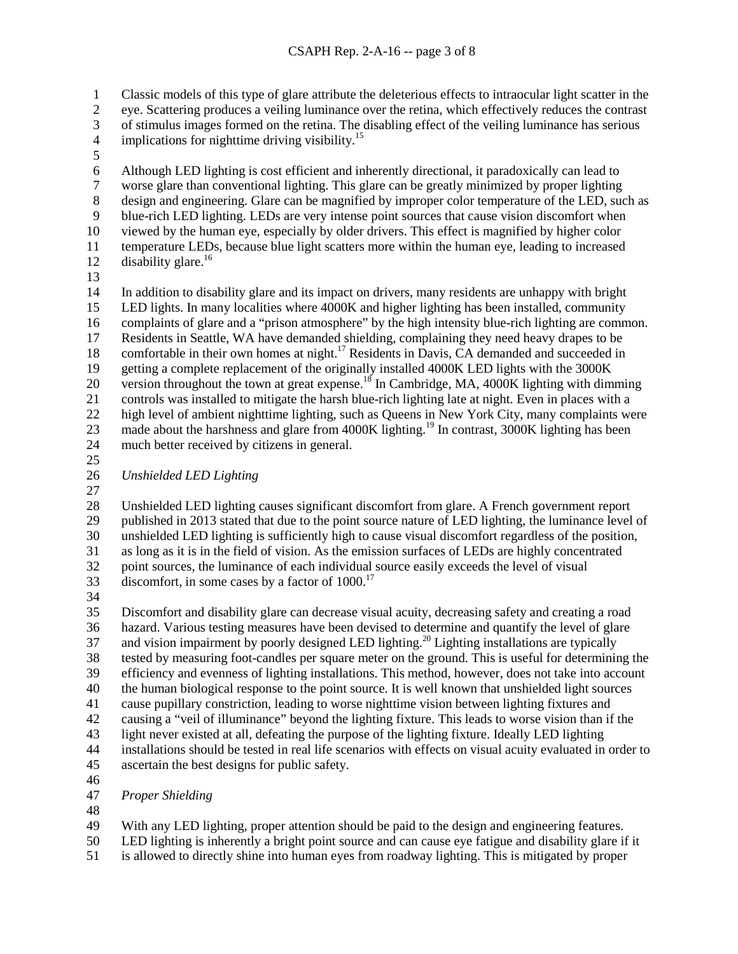1 Classic models of this type of glare attribute the deleterious effects to intraocular light scatter in the 2 eye. Scattering produces a veiling luminance over the retina, which effectively reduces the contrast

- 3 of stimulus images formed on the retina. The disabling effect of the veiling luminance has serious implications for nighttime driving visibility.<sup>15</sup>
- $4$  implications for nighttime driving visibility.<sup>15</sup>
- 5

6 Although LED lighting is cost efficient and inherently directional, it paradoxically can lead to<br>
7 worse glare than conventional lighting. This glare can be greatly minimized by proper lighting 7 worse glare than conventional lighting. This glare can be greatly minimized by proper lighting<br>8 design and engineering. Glare can be magnified by improper color temperature of the LED, such design and engineering. Glare can be magnified by improper color temperature of the LED, such as 9 blue-rich LED lighting. LEDs are very intense point sources that cause vision discomfort when 10 viewed by the human eye, especially by older drivers. This effect is magnified by higher color 11 temperature LEDs, because blue light scatters more within the human eye, leading to increased 12 disability glare.<sup>16</sup>

 13 14 In addition to disability glare and its impact on drivers, many residents are unhappy with bright 15 LED lights. In many localities where 4000K and higher lighting has been installed, community 16 complaints of glare and a "prison atmosphere" by the high intensity blue-rich lighting are common. 17 Residents in Seattle, WA have demanded shielding, complaining they need heavy drapes to be 18 comfortable in their own homes at night.<sup>17</sup> Residents in Davis, CA demanded and succeeded in 19 getting a complete replacement of the originally installed 4000K LED lights with the 3000K 20 version throughout the town at great expense.<sup>18</sup> In Cambridge, MA, 4000K lighting with dimming 21 controls was installed to mitigate the harsh blue-rich lighting late at night. Even in places with a 22 high level of ambient nighttime lighting, such as Queens in New York City, many complaints were 23 made about the harshness and glare from 4000K lighting.<sup>19</sup> In contrast, 3000K lighting has been 24 much better received by citizens in general.

25

# 26 *Unshielded LED Lighting*

27

28 Unshielded LED lighting causes significant discomfort from glare. A French government report<br>29 published in 2013 stated that due to the point source nature of LED lighting, the luminance level 29 published in 2013 stated that due to the point source nature of LED lighting, the luminance level of 30 unshielded LED lighting is sufficiently high to cause visual discomfort regardless of the position, 31 as long as it is in the field of vision. As the emission surfaces of LEDs are highly concentrated 32 point sources, the luminance of each individual source easily exceeds the level of visual 33 discomfort, in some cases by a factor of  $1000$ .<sup>17</sup>

34

35 Discomfort and disability glare can decrease visual acuity, decreasing safety and creating a road 36 hazard. Various testing measures have been devised to determine and quantify the level of glare 37 and vision impairment by poorly designed LED lighting.<sup>20</sup> Lighting installations are typically 38 tested by measuring foot-candles per square meter on the ground. This is useful for determining the 39 efficiency and evenness of lighting installations. This method, however, does not take into account 40 the human biological response to the point source. It is well known that unshielded light sources 41 cause pupillary constriction, leading to worse nighttime vision between lighting fixtures and 42 causing a "veil of illuminance" beyond the lighting fixture. This leads to worse vision than if the 43 light never existed at all, defeating the purpose of the lighting fixture. Ideally LED lighting 44 installations should be tested in real life scenarios with effects on visual acuity evaluated in order to 45 ascertain the best designs for public safety. 46

- 
- 47 *Proper Shielding*
- 48

49 With any LED lighting, proper attention should be paid to the design and engineering features.

50 LED lighting is inherently a bright point source and can cause eye fatigue and disability glare if it

51 is allowed to directly shine into human eyes from roadway lighting. This is mitigated by proper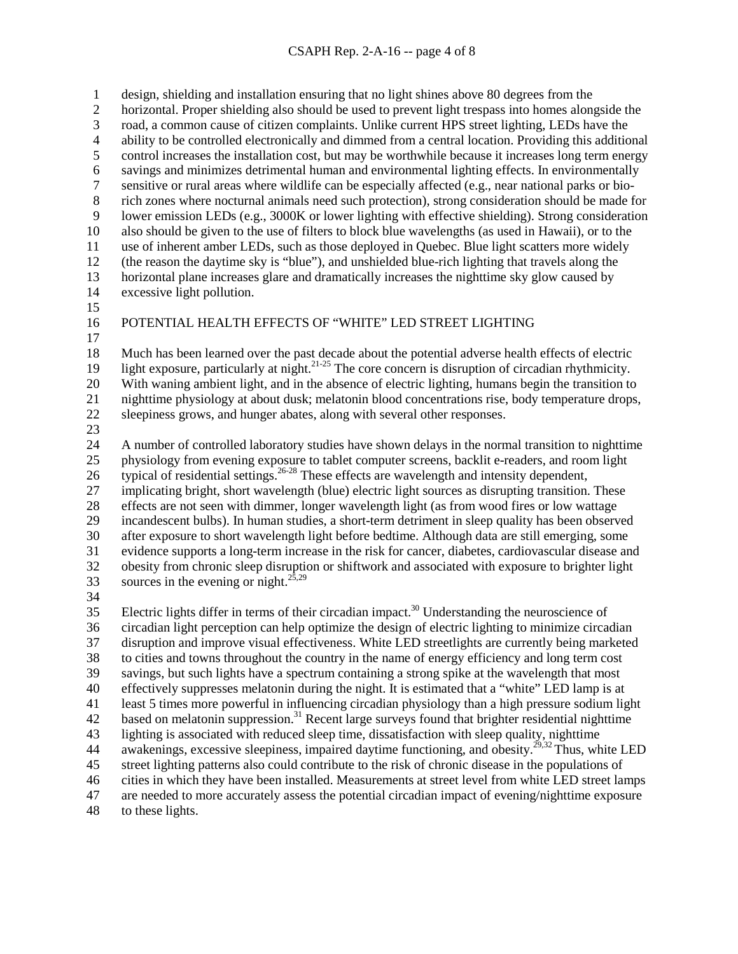1 design, shielding and installation ensuring that no light shines above 80 degrees from the 2 horizontal. Proper shielding also should be used to prevent light trespass into homes alongside the 3 road, a common cause of citizen complaints. Unlike current HPS street lighting, LEDs have the 4 ability to be controlled electronically and dimmed from a central location. Providing this additional<br>5 control increases the installation cost, but may be worthwhile because it increases long term energy 5 control increases the installation cost, but may be worthwhile because it increases long term energy 6 savings and minimizes detrimental human and environmental lighting effects. In environmentally<br>
7 sensitive or rural areas where wildlife can be especially affected (e.g., near national parks or bio-7 sensitive or rural areas where wildlife can be especially affected (e.g., near national parks or bio-<br>8 rich zones where nocturnal animals need such protection), strong consideration should be made for rich zones where nocturnal animals need such protection), strong consideration should be made for 9 lower emission LEDs (e.g., 3000K or lower lighting with effective shielding). Strong consideration 10 also should be given to the use of filters to block blue wavelengths (as used in Hawaii), or to the 11 use of inherent amber LEDs, such as those deployed in Quebec. Blue light scatters more widely 12 (the reason the daytime sky is "blue"), and unshielded blue-rich lighting that travels along the 13 horizontal plane increases glare and dramatically increases the nighttime sky glow caused by<br>14 excessive light pollution. excessive light pollution.

15

# 16 POTENTIAL HEALTH EFFECTS OF "WHITE" LED STREET LIGHTING

17

18 Much has been learned over the past decade about the potential adverse health effects of electric 19 light exposure, particularly at night.<sup>21-25</sup> The core concern is disruption of circadian rhythmicity. 20 With waning ambient light, and in the absence of electric lighting, humans begin the transition to 21 nighttime physiology at about dusk; melatonin blood concentrations rise, body temperature drops, 22 sleepiness grows, and hunger abates, along with several other responses.

23

24 A number of controlled laboratory studies have shown delays in the normal transition to nighttime 25 physiology from evening exposure to tablet computer screens, backlit e-readers, and room light 26 typical of residential settings.<sup>26-28</sup> These effects are wavelength and intensity dependent, 27 implicating bright, short wavelength (blue) electric light sources as disrupting transition. These 28 effects are not seen with dimmer, longer wavelength light (as from wood fires or low wattage<br>29 incandescent bulbs). In human studies, a short-term detriment in sleep quality has been observed 29 incandescent bulbs). In human studies, a short-term detriment in sleep quality has been observed 30 after exposure to short wavelength light before bedtime. Although data are still emerging, some 31 evidence supports a long-term increase in the risk for cancer, diabetes, cardiovascular disease and 32 obesity from chronic sleep disruption or shiftwork and associated with exposure to brighter light 33 sources in the evening or night.<sup>25,29</sup> 34

35 Electric lights differ in terms of their circadian impact.<sup>30</sup> Understanding the neuroscience of 36 circadian light perception can help optimize the design of electric lighting to minimize circadian 37 disruption and improve visual effectiveness. White LED streetlights are currently being marketed 38 to cities and towns throughout the country in the name of energy efficiency and long term cost 39 savings, but such lights have a spectrum containing a strong spike at the wavelength that most 40 effectively suppresses melatonin during the night. It is estimated that a "white" LED lamp is at 41 least 5 times more powerful in influencing circadian physiology than a high pressure sodium light 42 based on melatonin suppression.<sup>31</sup> Recent large surveys found that brighter residential nighttime 43 lighting is associated with reduced sleep time, dissatisfaction with sleep quality, nighttime 44 awakenings, excessive sleepiness, impaired daytime functioning, and obesity.<sup>29,32</sup> Thus, white LED 45 street lighting patterns also could contribute to the risk of chronic disease in the populations of 46 cities in which they have been installed. Measurements at street level from white LED street lamps 47 are needed to more accurately assess the potential circadian impact of evening/nighttime exposure 48 to these lights.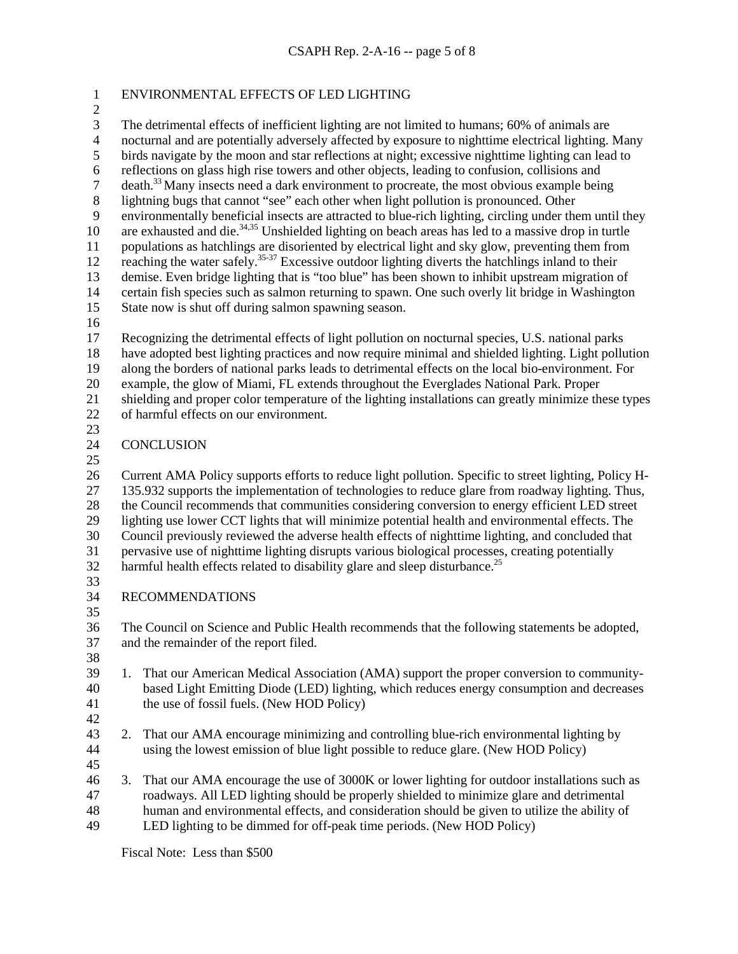# 1 ENVIRONMENTAL EFFECTS OF LED LIGHTING

2

3 The detrimental effects of inefficient lighting are not limited to humans; 60% of animals are 4 nocturnal and are potentially adversely affected by exposure to nighttime electrical lighting. Many<br>5 birds navigate by the moon and star reflections at night; excessive nighttime lighting can lead to 5 birds navigate by the moon and star reflections at night; excessive nighttime lighting can lead to 6 reflections on glass high rise towers and other objects, leading to confusion, collisions and<br>death.<sup>33</sup> Many insects need a dark environment to procreate, the most obvious example bein  $7$  death.<sup>33</sup> Many insects need a dark environment to procreate, the most obvious example being 8 lightning bugs that cannot "see" each other when light pollution is pronounced. Other 9 environmentally beneficial insects are attracted to blue-rich lighting, circling under them until they 10 are exhausted and die.<sup>34,35</sup> Unshielded lighting on beach areas has led to a massive drop in turtle 11 populations as hatchlings are disoriented by electrical light and sky glow, preventing them from reaching the water safely.<sup>35-37</sup> Excessive outdoor lighting diverts the hatchlings inland to their 13 demise. Even bridge lighting that is "too blue" has been shown to inhibit upstream migration of<br>14 certain fish species such as salmon returning to spawn. One such overly lit bridge in Washington certain fish species such as salmon returning to spawn. One such overly lit bridge in Washington 15 State now is shut off during salmon spawning season. 17 Recognizing the detrimental effects of light pollution on nocturnal species, U.S. national parks

16

18 have adopted best lighting practices and now require minimal and shielded lighting. Light pollution 19 along the borders of national parks leads to detrimental effects on the local bio-environment. For 20 example, the glow of Miami, FL extends throughout the Everglades National Park. Proper 21 shielding and proper color temperature of the lighting installations can greatly minimize these types 22 of harmful effects on our environment.

23

# 24 CONCLUSION

25

26 Current AMA Policy supports efforts to reduce light pollution. Specific to street lighting, Policy H-27 135.932 supports the implementation of technologies to reduce glare from roadway lighting. Thus, 28 the Council recommends that communities considering conversion to energy efficient LED street<br>29 lighting use lower CCT lights that will minimize potential health and environmental effects. The 29 lighting use lower CCT lights that will minimize potential health and environmental effects. The 30 Council previously reviewed the adverse health effects of nighttime lighting, and concluded that 31 pervasive use of nighttime lighting disrupts various biological processes, creating potentially  $\frac{1}{2}$  harmful health effects related to disability glare and sleep disturbance.<sup>25</sup>

33

# 34 RECOMMENDATIONS

35

36 The Council on Science and Public Health recommends that the following statements be adopted, 37 and the remainder of the report filed.

38

39 1. That our American Medical Association (AMA) support the proper conversion to community-40 based Light Emitting Diode (LED) lighting, which reduces energy consumption and decreases 41 the use of fossil fuels. (New HOD Policy)

42

43 2. That our AMA encourage minimizing and controlling blue-rich environmental lighting by 44 using the lowest emission of blue light possible to reduce glare. (New HOD Policy)

45

46 3. That our AMA encourage the use of 3000K or lower lighting for outdoor installations such as 47 roadways. All LED lighting should be properly shielded to minimize glare and detrimental 48 human and environmental effects, and consideration should be given to utilize the ability of 49 LED lighting to be dimmed for off-peak time periods. (New HOD Policy)

Fiscal Note: Less than \$500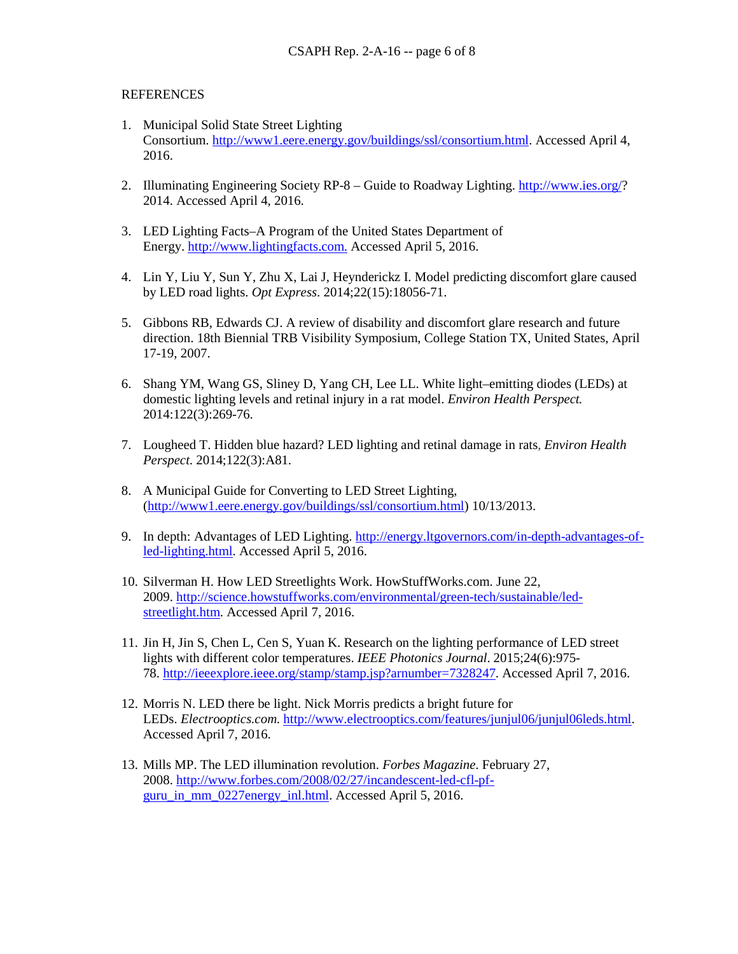#### **REFERENCES**

- 1. Municipal Solid State Street Lighting Consortium. [http://www1.eere.energy.gov/buildings/ssl/consortium.html.](http://www1.eere.energy.gov/buildings/ssl/consortium.html) Accessed April 4, 2016.
- 2. Illuminating Engineering Society RP-8 Guide to Roadway Lighting. [http://www.ies.org/?](http://www.ies.org/) 2014. Accessed April 4, 2016.
- 3. LED Lighting Facts–A Program of the United States Department of Energy. [http://www.lightingfacts.com.](http://www.lightingfacts.com./) Accessed April 5, 2016.
- 4. Lin Y, Liu Y, Sun Y, Zhu X, Lai J, Heynderickz I. Model predicting discomfort glare caused by LED road lights. *Opt Express*. 2014;22(15):18056-71.
- 5. Gibbons RB, Edwards CJ. A review of disability and discomfort glare research and future direction. 18th Biennial TRB Visibility Symposium, College Station TX, United States, April 17-19, 2007.
- 6. Shang YM, Wang GS, Sliney D, Yang CH, Lee LL. White light–emitting diodes (LEDs) at domestic lighting levels and retinal injury in a rat model. *Environ Health Perspect.*  2014:122(3):269-76.
- 7. Lougheed T. Hidden blue hazard? LED lighting and retinal damage in rats, *Environ Health Perspect*. 2014;122(3):A81.
- 8. A Municipal Guide for Converting to LED Street Lighting, [\(http://www1.eere.energy.gov/buildings/ssl/consortium.html\)](http://www1.eere.energy.gov/buildings/ssl/consortium.html) 10/13/2013.
- 9. In depth: Advantages of LED Lighting. [http://energy.ltgovernors.com/in-depth-advantages-of](http://energy.ltgovernors.com/in-depth-advantages-of-led-lighting.html)[led-lighting.html.](http://energy.ltgovernors.com/in-depth-advantages-of-led-lighting.html) Accessed April 5, 2016.
- 10. Silverman H. How LED Streetlights Work. HowStuffWorks.com. June 22, 2009. [http://science.howstuffworks.com/environmental/green-tech/sustainable/led](http://science.howstuffworks.com/environmental/green-tech/sustainable/led-streetlight.htm)[streetlight.htm.](http://science.howstuffworks.com/environmental/green-tech/sustainable/led-streetlight.htm) Accessed April 7, 2016.
- 11. Jin H, Jin S, Chen L, Cen S, Yuan K. Research on the lighting performance of LED street lights with different color temperatures. *IEEE Photonics Journal*. 2015;24(6):975- 78. [http://ieeexplore.ieee.org/stamp/stamp.jsp?arnumber=7328247.](http://ieeexplore.ieee.org/stamp/stamp.jsp?arnumber=7328247) Accessed April 7, 2016.
- 12. Morris N. LED there be light. Nick Morris predicts a bright future for LEDs. *Electrooptics.com.* [http://www.electrooptics.com/features/junjul06/junjul06leds.html.](http://www.electrooptics.com/features/junjul06/junjul06leds.html) Accessed April 7, 2016.
- 13. Mills MP. The LED illumination revolution. *Forbes Magazine*. February 27, 2008. [http://www.forbes.com/2008/02/27/incandescent-led-cfl-pf](http://www.forbes.com/2008/02/27/incandescent-led-cfl-pf-guru_in_mm_0227energy_inl.html)[guru\\_in\\_mm\\_0227energy\\_inl.html.](http://www.forbes.com/2008/02/27/incandescent-led-cfl-pf-guru_in_mm_0227energy_inl.html) Accessed April 5, 2016.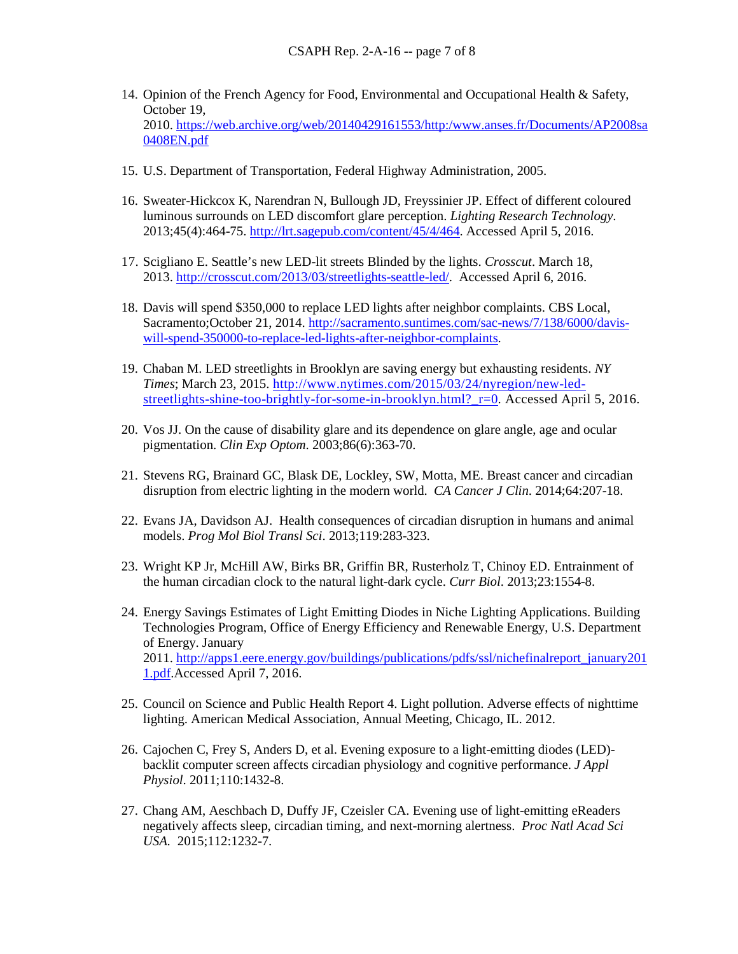- 14. [Opinion of the French Agency for Food, Environmental and Occupational Health & Safety,](http://www.anses.fr/Documents/AP2008sa0408EN.pdf) October 19, 2010. [https://web.archive.org/web/20140429161553/http:/www.anses.fr/Documents/AP2008sa](https://web.archive.org/web/20140429161553/http:/www.anses.fr/Documents/AP2008sa0408EN.pdf) [0408EN.pdf](https://web.archive.org/web/20140429161553/http:/www.anses.fr/Documents/AP2008sa0408EN.pdf)
- 15. U.S. Department of Transportation, Federal Highway Administration, 2005.
- 16. Sweater-Hickcox K, Narendran N, Bullough JD, Freyssinier JP. Effect of different coloured luminous surrounds on LED discomfort glare perception. *Lighting Research Technology*. 2013;45(4):464-75. [http://lrt.sagepub.com/content/45/4/464.](http://lrt.sagepub.com/content/45/4/464) Accessed April 5, 2016.
- 17. Scigliano E. Seattle's new LED-lit streets Blinded by the lights. *Crosscut*. March 18, 2013. [http://crosscut.com/2013/03/streetlights-seattle-led/.](http://crosscut.com/2013/03/streetlights-seattle-led/) Accessed April 6, 2016.
- 18. Davis will spend \$350,000 to replace LED lights after neighbor complaints. CBS Local, Sacramento;October 21, 2014. [http://sacramento.suntimes.com/sac-news/7/138/6000/davis](http://sacramento.suntimes.com/sac-news/7/138/6000/davis-will-spend-350000-to-replace-led-lights-after-neighbor-complaints)[will-spend-350000-to-replace-led-lights-after-neighbor-complaints.](http://sacramento.suntimes.com/sac-news/7/138/6000/davis-will-spend-350000-to-replace-led-lights-after-neighbor-complaints)
- 19. Chaban M. LED streetlights in Brooklyn are saving energy but exhausting residents. *NY Times*; March 23, 2015. [http://www.nytimes.com/2015/03/24/nyregion/new-led](http://www.nytimes.com/2015/03/24/nyregion/new-led-streetlights-shine-too-brightly-for-some-in-brooklyn.html?_r=0)[streetlights-shine-too-brightly-for-some-in-brooklyn.html?\\_r=0.](http://www.nytimes.com/2015/03/24/nyregion/new-led-streetlights-shine-too-brightly-for-some-in-brooklyn.html?_r=0) Accessed April 5, 2016.
- 20. Vos JJ. On the cause of disability glare and its dependence on glare angle, age and ocular pigmentation. *Clin Exp Optom*. 2003;86(6):363-70.
- 21. Stevens RG, Brainard GC, Blask DE, Lockley, SW, Motta, ME. Breast cancer and circadian disruption from electric lighting in the modern world. *CA Cancer J Clin*. 2014;64:207-18.
- 22. Evans JA, Davidson AJ. Health consequences of circadian disruption in humans and animal models. *Prog Mol Biol Transl Sci*. 2013;119:283-323.
- 23. Wright KP Jr, McHill AW, Birks BR, Griffin BR, Rusterholz T, Chinoy ED. Entrainment of the human circadian clock to the natural light-dark cycle. *Curr Biol*. 2013;23:1554-8.
- 24. Energy Savings Estimates of Light Emitting Diodes in Niche Lighting Applications. Building Technologies Program, Office of Energy Efficiency and Renewable Energy, U.S. Department of Energy. January 2011. [http://apps1.eere.energy.gov/buildings/publications/pdfs/ssl/nichefinalreport\\_january201](http://apps1.eere.energy.gov/buildings/publications/pdfs/ssl/nichefinalreport_january2011.pdf) [1.pdf.](http://apps1.eere.energy.gov/buildings/publications/pdfs/ssl/nichefinalreport_january2011.pdf)Accessed April 7, 2016.
- 25. Council on Science and Public Health Report 4. Light pollution. Adverse effects of nighttime lighting. American Medical Association, Annual Meeting, Chicago, IL. 2012.
- 26. Cajochen C, Frey S, Anders D, et al. Evening exposure to a light-emitting diodes (LED) backlit computer screen affects circadian physiology and cognitive performance. *J Appl Physiol*. 2011;110:1432-8.
- 27. Chang AM, Aeschbach D, Duffy JF, Czeisler CA. Evening use of light-emitting eReaders negatively affects sleep, circadian timing, and next-morning alertness. *Proc Natl Acad Sci USA.* 2015;112:1232-7.